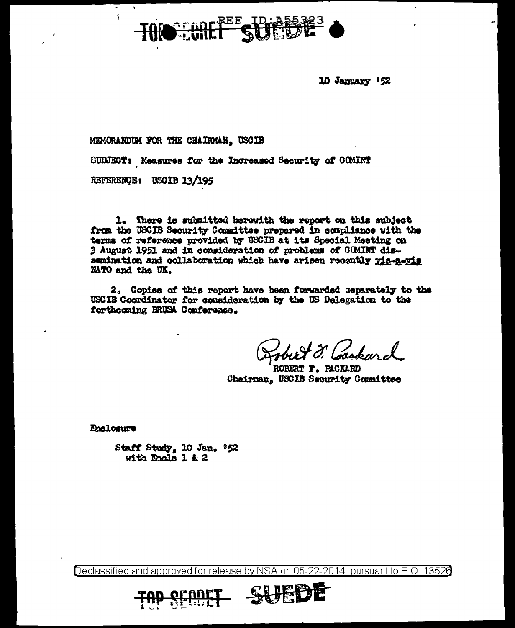

10 January 152

MEMORANDIM FOR THE CHAIRMAN, USCIB

SUBJECT: Measures for the Increased Security of COMINT

REFERENCE: USCIB 13/195

1. There is submitted herowith the report on this subject from the USCIB Security Committee prepared in compliance with the terms of reference provided by USCIB at its Special Meeting on 3 August 1951 and in consideration of problems of COMINT dissemination and collaboration which have arisen recently vis-a-vis NATO and the UK.

2. Copies of this report have been forwarded separately to the USCIB Coordinator for consideration by the US Delegation to the forthcoming BRUSA Conference.

ROBERT T. PACKARD Chairman, USCIB Security Committee

**Pholosure** 

Staff Study, 10 Jan. 852 with Engls 1 & 2

Declassified and approved for release by NSA on 05-22-2014 pursuant to E.O. 13526

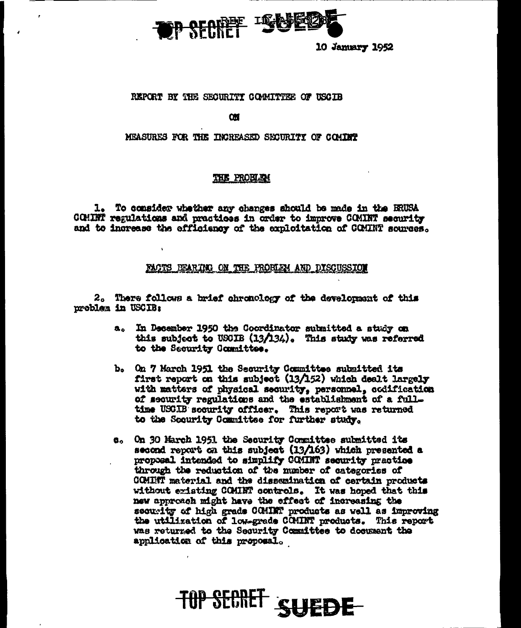

10 Jamary 1952

## REPORT BY THE SECURITY COMMITTEE OF USCIB

**OM** 

## MEASURES FOR THE INCREASED SECURITY OF COMINP

## THE PROBLEM

1. To consider whether any changes should be made in the BRUSA COMINT regulations and practices in order to improve COMINT security and to increase the efficiency of the exploitation of COMINT sources.

### PACTS BEARING ON THE FROBLEM AND DISCUSSION

2. There follows a brief chronology of the development of this problem in USCIB:

- In December 1950 the Coordinator submitted a study on a. this subject to USOIB  $(13/134)$ . This study was referred to the Security Committee.
- b. On 7 March 1951 the Security Committee submitted its first report on this subject (13/152) which dealt largely with matters of physical security, personnel, codification of security regulations and the establishment of a fulltime USCIB security officer. This report was returned to the Security Committee for further study.
- e. On 30 March 1951 the Security Committee submitted its second report on this subject (13/163) which presented a proposal intended to simplify COMINT security practice through the reduction of the number of categories of COMINT material and the dissemination of certain products without existing COMINT controls. It was hoped that this new approach might have the effect of increasing the security of high grads COMINT products as well as improving the utilization of low-grade COMINT products. This report was returned to the Security Committee to document the application of this proposal.

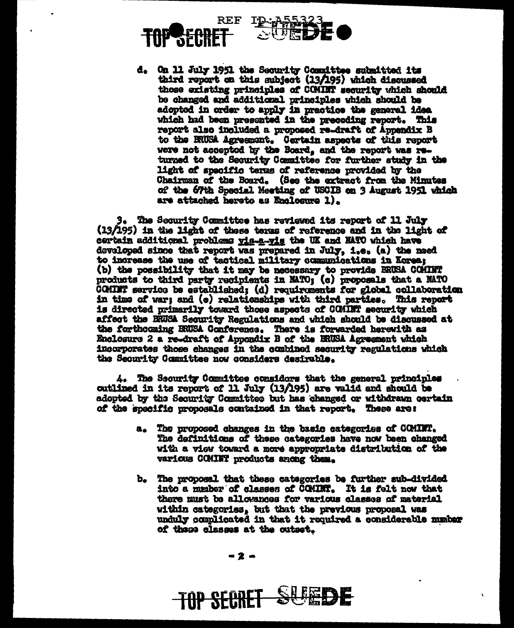



d. On 11 July 1951 the Security Committee submitted its third report on this subject (13/195) which discussed those existing principles of COMINT security which should be changed and additional principles which should be adopted in order to apply in practice the general idea which had been presented in the preceding report. This report also included a proposed re-draft of Appendix B to the BRUSA Agreement. Certain aspects of this report were not accepted by the Board, and the report was returned to the Security Committee for further study in the light of specific terms of reference provided by the Chairman of the Board. (See the extract from the Minutes of the 67th Special Meeting of USCIB on 3 August 1951 which are attached hereto as Enclosure 1).

3. The Security Committee has reviewed its report of 11 July (13/195) in the light of these terms of reference and in the light of certain additional problems yis-s-yis the UK and NATO which have developed since that report was prepared in July, i.e. (a) the need to increase the use of tactical military communications in Korea; (b) the possibility that it may be necessary to provide ERUSA COMINT products to third party recipients in MATO; (c) proposals that a MATO COMINT service be established; (d) requirements for global collaboration in time of war; and (e) relationships with third parties. This report is directed primarily toward those aspects of COMINT security which affect the BRUSA Security Regulations and which should be discussed at the forthocaing BNUSA Gonference. There is forwarded herewith as Enclosure 2 a re-draft of Appendix B of the BRUSA Agreement which incorporates those changes in the combined security regulations which the Security Committee now considers desirable.

4. The Security Committee considers that the general principles cutlined in its report of 11 July (13/195) are valid and should be adopted by the Security Committee but has changed or withdrawn certain of the specific proposals contained in that report. These are:

- a. The proposed changes in the basic categories of COMINT. The definitions of these categories have now been changed with a view toward a more appropriate distribution of the various COMINT products anong them.
- b. The proposal that these categories be further sub-divided into a mmber of classes of COMINT. It is felt now that there must be allowances for various classes of material within categories, but that the previous proposal was unduly complicated in that it required a considerable number of these classes at the outset.

**SUPEDE** 

**TOP SECRET**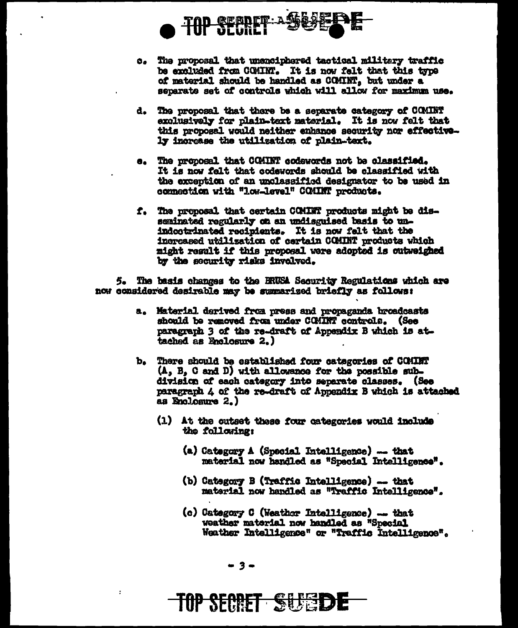

- c. The proposal that unsuciphered tactical military traffic be excluded from COMINT. It is now felt that this type of material should be handled as COMINT, but under a separate set of controls which will allow for maximum use.
- d. The proposal that there be a separate category of COMINT exclusively for plain-text material. It is now felt that this proposal would neither enhance security nor effectively increase the utilization of plain-text.
- e. The proposal that CCMINT codewords not be classified. It is now falt that codewords should be classified with the exception of an unclassified designator to be used in connection with "low-level" COMINT products.
- f. The proposal that certain COMINT products might be disseminated regularly on an undisguised basis to unindoctrinated recipients. It is now felt that the increased utilization of certain COMINT products which might result if this proposal were adopted is outweighed by the security risks involved.

5. The basis changes to the ERUSA Security Regulations which are now considered desirable may be summarized briefly as follows:

- a. Material derived from press and propaganda broadcasts should be removed from under COMINT controls. (See paragraph 3 of the re-draft of Appendix B which is attached as Enclosure 2.)
- b. There should be established four categories of COMINT  $(A, B, C and D)$  with allowance for the possible subdivision of each category into separate classes. (See paragraph 4 of the re-draft of Appendix B which is attached as Enclosure 2.)
	- (1) At the cutset these four categories would include the following:
		- (a) Category A (Special Intelligence)  $-$  that material now handled as "Special Intelligence".
		- (b) Category B (Traffic Intelligence) -- that material now handled as "Traffic Intelligence".
		- (c) Category C (Weather Intelligence) -- that weather material now handled as "Special Weather Intelligence" or "Traffic Intelligence".

 $-3-$ 

 $\ddot{\cdot}$ 

# TOP SECRET SUBBI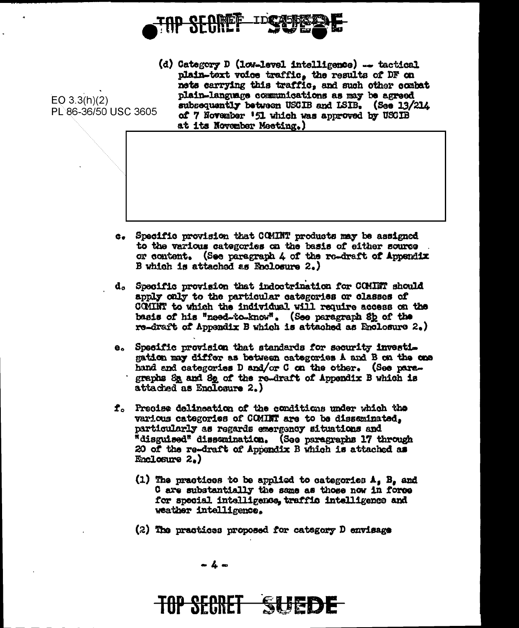

 $EO$  3.3(h)(2) PL 86-36/50 USC 3605

(d) Category D (low-level intelligence) -- tactical plain-text voice traffic, the results of DF on nets carrying this traffic, and such other combat plain-language communications as may be agreed subsequently between USCIB and ISIB. (See 13/214 of 7 November '51 which was approved by USCIB at its November Meeting.)

- c. Specific provision that COMINT products may be assigned to the various categories on the basis of either source or content. (See paragraph 4 of the re-draft of Appendix B which is attached as Enclosure 2.)
- d. Specific provision that indoctrination for COMINT should apply caly to the particular categories or classes of COMINT to which the individual will require access on the basis of his "need-to-know". (See paragraph Sb of the re-draft of Appendix B which is attached as Enclosure 2.)
- e. Specific provision that standards for security investigation may differ as between categories A and B on the one hand and categories D and/or C on the other. (See paragraphs Sa and So of the re-draft of Appendix B which is attached as Enclosure 2.)
- f. Precise delineation of the conditions under which the various categories of COMINT are to be disseminated, particularly as regards emergency situations and "disguised" dissuination. (See paragraphs 17 through 20 of the re-draft of Appendix B which is attached as Enclosure  $2.$ )
	- (1) The practices to be applied to categories  $A_5$  B, and C are substantially the same as those now in force for special intelligence, traffic intelligence and weather intelligence.
	- (2) The practices proposed for category D envisage



# **TOP SECRET**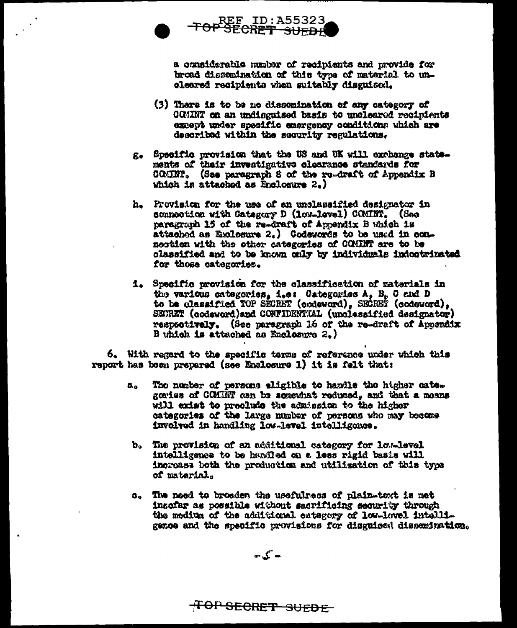

a considerable manber of recipients and provide for broad dissemination of this type of material to uncleared recipients when suitably disguised.

REF ID:A55323<br>TOP SECRET SUEDE

- (3) There is to be no dissomination of any category of COMINT on an undiscuised basis to uncleared recipients except under specific emergency conditions which are described within the security regulations.
- g. Specific provision that the US and UK will exchange statements of their investigative clearance standards for COMINI. (Sae paragraph 8 of the re-draft of Appendix B which is attached as Enclosure  $2.$ )
- h. Provision for the use of an unclassified designator in connection with Category D (low-level) COMINT. (See paragraph 15 of the re-draft of Appendix B which is attachod as Exclosure 2.) Codewords to be used in connection with the other categories of COMINT are to be classified and to be known only by individuals indoctrinated for those categories.
- i. Specific provision for the classification of materials in the various categories, i, et Categories A, B. C and D to be classified TOP SECRET (codeword), SECRET (codeword), SEURET (acdeword)and CONFIDENTIAL (unclassified designator) respectively. (See paragraph 16 of the re-draft of Appendix B which is attached as Enclosure 2.)

6. With regard to the specific terms of reference under which this report has been prepared (see Englosure 1) it is felt that:

- The number of persons eligible to handle the higher cate.  $a_{\alpha}$ gories of COMRT can be somewhat reduced, and that a means will exist to preclude the admission to the higher categories of the large number of persons who may become involved in handling low-level intelligence.
- b. The provision of an additional category for low-level intelligence to be handled on a less rigid basis will increase both the production and utilization of this type of material.
- c. The need to broaden the usefulress of plain-taxt is met insofar as possible without sacrificing security through the medium of the additional category of low-lovel intelligence and the specific provisions for disguised dissemination.

 $\sum_{i=1}^{n}$ 

<del>TOP SECRET SUEDE</del>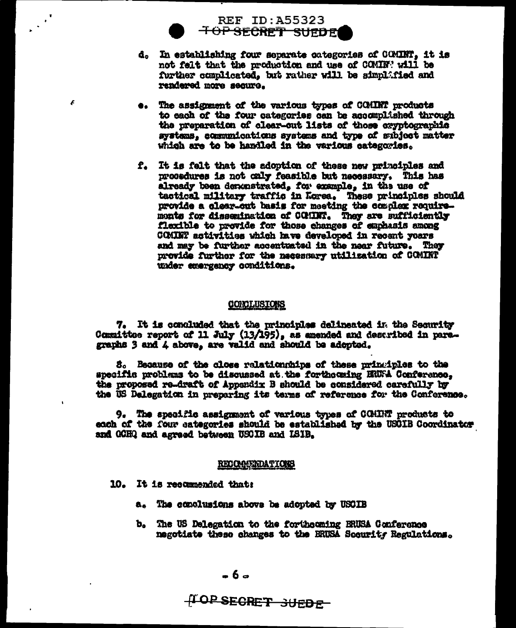

F

- d. In establishing four separate categories of COMINT, it is not felt that the production and use of COMIN' will be further complicated, but rather will be simplafied and rendered more secure.
- The assignment of the various types of COMINT products Ge i to each of the four categories can be accomplished through the preparation of clear-out lists of those exyptographic systems, communications systems and type of subject matter which are to be handled in the various categories.
- f. It is felt that the adoption of these new principles and procedures is not caly feasible but necessary. This has already been denonstrated, for example, in the use of tactical military traffic in Lorea. These principles should provide a clear-out basis for meeting the complex requiremonts for dissemination of COMINT. They are sufficiently flexible to provide for those changes of emphasis among COMINT activities which have developed in recent years and may be further accentuated in the near future. They provide further for the necessary utilization of COMINT under emergency conditions.

## CONCLUSIONS

7. It is conduded that the principles delineated in the Security Committee report of 11 July (13/195), as amended and described in paregraphs 3 and 4 above, are valid and should be adopted.

S. Because of the close relationships of these principles to the specific problems to be discussed at the forthousing HUFA Conference. the proposed re-draft of Appandix B should be considered carefully by the US Delegation in preparing its terms of reference for the Conference.

9. The specific assignment of various types of COMINT products to each of the four eategories should be established by the USOIB Coordinator and GCHQ and agreed between USCIB and ISIB.

#### **RECOMPENDATIONS**

- 10. It is recommended that:
	- a. The complusions above be adopted by USCIB
	- b. The US Delegation to the forthcoming BRUSA Conference negotiate these changes to the BRUSA Socurity Regulations.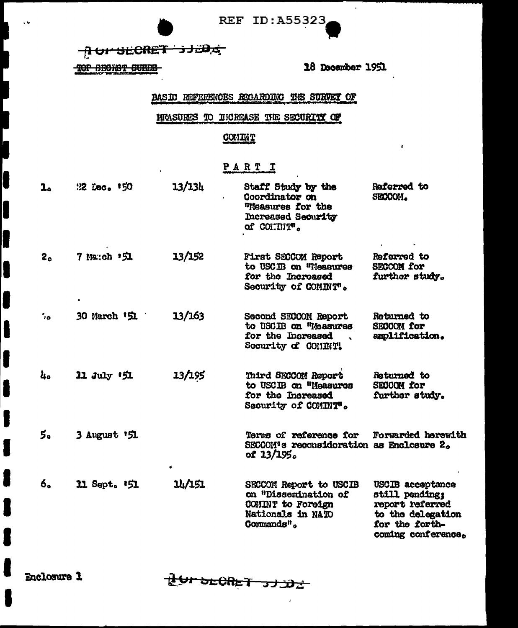REF ID: A55323

TOP SECRET 3JED

TOP SECRET SURFE

 $\sim$  M

Г

18 December 1951

 $\mathbf{r}$ 

BASIC REFERENCES RECARDING THE SURVEY OF

MEASURES TO INCREASE THE SECURITY OF

# **COMINT**

# PART I

| 1.      | 22 Lec. 150              | 13/134 | Staff Study by the<br>Coordinator on<br>"Measures for the<br>Increased Security<br>of COITHIT".                      | Referred to<br>SECCOM.                                                                                             |
|---------|--------------------------|--------|----------------------------------------------------------------------------------------------------------------------|--------------------------------------------------------------------------------------------------------------------|
| 2。      | 7 Manch '51              | 13/152 | First SECCOM Report<br>to USCIB on "Measures<br>for the Increased<br>Security of COMINT".                            | Referred to<br><b>SECCON for</b><br>further study.                                                                 |
| $\cdot$ | 30 March 「 <b>51</b>     | 13/163 | Second SECCOM Report<br>to USCIB on "Massures<br>for the Increased<br>Security of COMINT!                            | Returned to<br><b>SECCON for</b><br>amplification.                                                                 |
| 4.      | 11 July 151              | 13/195 | Third SECCOM Report<br>to USCIB on "Measures<br>for the Increased<br>Security of COMINT".                            | Returned to<br><b>SECCOM for</b><br>further study.                                                                 |
| 5.      | 3 August 151             | ٠      | Terms of reference for<br>SECCOM's reconsideration as Enclosure 2.<br>of 13/195.                                     | Forwarded herewith                                                                                                 |
| 6.      | 11 Sept. <sup>1</sup> 51 | 14/151 | SECCOM Report to USCIB<br>on "Dissemination of<br>COMINT to Foreign<br>Nationals in NATO<br>Commands <sup>it</sup> . | USCIB acceptance<br>still pending:<br>report referred<br>to the delegation<br>for the forth-<br>coming conference. |

Enclosure 1

LUI DECRET JJJDZ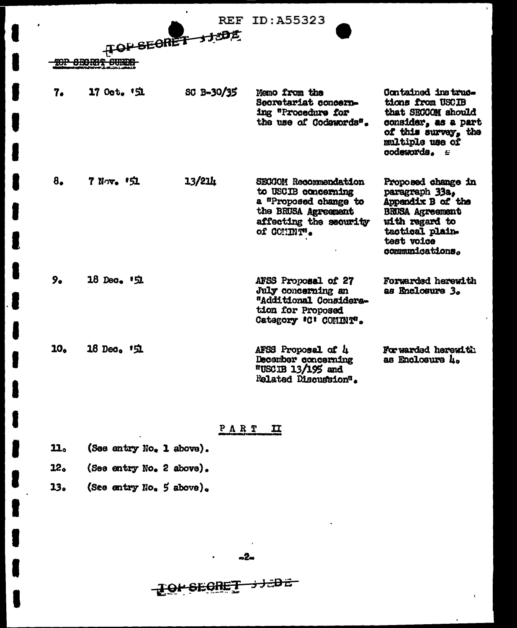|     | HOPSECRET JIONE<br><b>TOP SECRET SURPE</b> |            | <b>REF ID: A55323</b>                                                                                                                       |                                                                                                                                                           |
|-----|--------------------------------------------|------------|---------------------------------------------------------------------------------------------------------------------------------------------|-----------------------------------------------------------------------------------------------------------------------------------------------------------|
| 7.  | 17 Oct. 「 <b>SI</b>                        | SC B-30/35 | Memo from the<br>Secretariat concern-<br>ing "Procedure for<br>the use of Codewords".                                                       | <b>Contained instruc-</b><br>tions from USCIB<br>that SECCOM should<br>consider, as a part<br>of this survey, the<br>multiple use of<br>codewords. =      |
| 8.  | 7 Nov. 151                                 | 13/21h     | <b>SECCOM Recommendation</b><br>to USCIB concerning<br>a "Proposed change to<br>the BRUSA Agreement<br>affecting the security<br>of COMMT'. | Proposed change in<br>paragraph 33a,<br>Appendix B of the<br><b>BRUSA Agreement</b><br>with regard to<br>tactical plain-<br>test voice<br>communications. |
| 9.  | $18 \text{ Dec. } 151$                     |            | AFSS Proposal of 27<br>July concerning an<br>"Additional Considera-<br>tion for Proposed<br>Category 'C' COMINT'.                           | Forwarded herewith<br>as Enclosure 3.                                                                                                                     |
| 10. | 18 Dec. 151                                |            | AFSS Proposal of 4<br>December concerning<br>$"$ USCIB 13/195 and<br>Related Discussion".                                                   | For warded herewith<br>as Enclosure 4.                                                                                                                    |

PART II

(See entry No. 1 above). 11.

ſ

I

(See entry No. 2 above).  $22<sub>o</sub>$ 

(See entry No. 5 above).  $13<sub>o</sub>$ 

<del>s Jaba</del> TOM SEGRET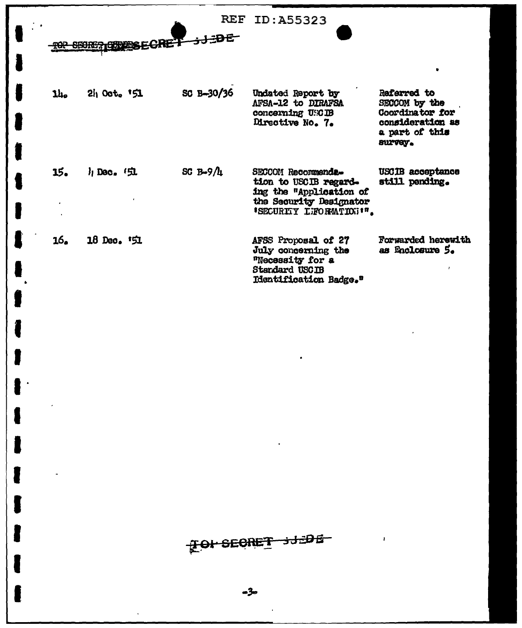|            | SBORG? GERERSEG   | <b>REF</b>   | ID:A55323                                                                                                                    |                                                                                                  |
|------------|-------------------|--------------|------------------------------------------------------------------------------------------------------------------------------|--------------------------------------------------------------------------------------------------|
| <b>14.</b> | $2i_1$ Oct. $151$ | SC B-30/36   | Undated Report by<br>AFSA-12 to DIRAFSA<br>concerning USCIB<br>Directive No. 7.                                              | Referred to<br>SECCOM by the<br>Coordinator for<br>consideration as<br>a part of this<br>survey. |
| 15.        | h Dec. (虫         | SC $B-9/l_1$ | SECCOM Recommenda-<br>tion to USCIB regard-<br>ing the "Application of<br>the Security Designator<br>'SECURITY LIFORMTION'". | USCIB acceptance<br>still pending.                                                               |
| 16.        | $18$ Dec. $51$    |              | AFSS Proposal of 27<br>July concerning the<br>"Necessity for a<br>Standard USCIB<br>Identification Badge."                   | Forwarded herewith<br>as Enclosure 5.                                                            |

1

 $\overline{\bullet}$ 

I

I

I

I

l

For secret 312DE

f,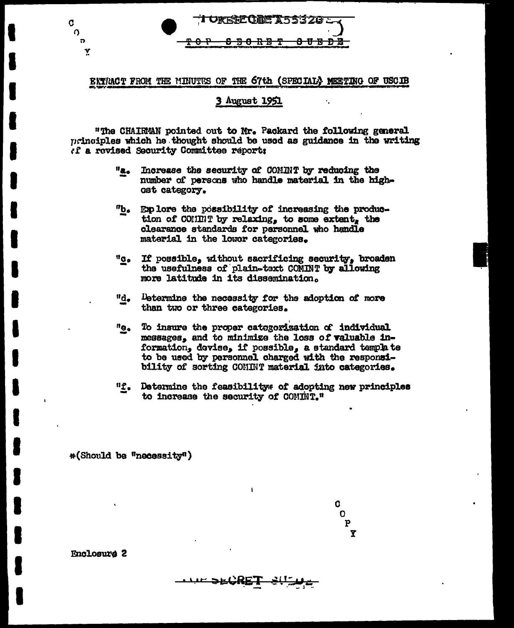

## EXTRACT FROM THE MINUTES OF THE 67th (SPECIAL) MEETING OF USCIB

#### 3 August 1951

k.

"The CHAIRMAN pointed out to Mr. Packard the following general principles which he thought should be used as guidance in the writing if a revised Security Committee report:

- $^{\mathsf{H}}$ a. Increase the security of COMINT by reducing the number of persons who handle material in the highost category.
- $^{\prime\prime}$ b<sub>a</sub> Explore the possibility of increasing the production of COMINT by relaxing, to some extent, the clearance standards for personnel who handle material in the lower categories.
- $10e$ If possible, without sacrificing security, broaden the usefulness of plain-text COMINT by allowing more latitude in its dissemination.
- Determine the necessity for the adoption of more "d. than two or three categories.
- $^{\prime\prime}$ e To insure the proper categorization of individual messages, and to minimize the loss of valuable information, devise, if possible, a standard template to be used by personnel charged with the responsibility of sorting CONINT material into categories.
- "f. Determine the feasibility of adopting new principles to increase the security of COMINT."

\*(Should be "necessity")

C.  $\Omega$  $\mathbf P$ Y

**Enclosure 2** 

 $\mathbf C$  $\Omega$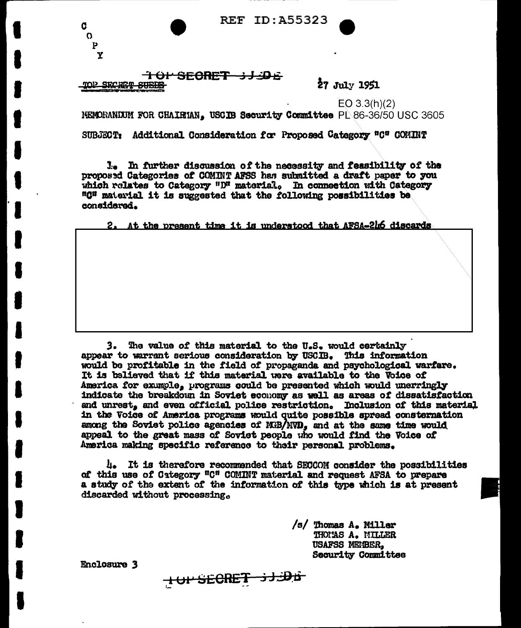**REF ID: A55323** 

<del>101 SECRET 3J3DE</del> mol> SECRET SUEDE

đ  $\Omega$  $\mathbf{p}$ Y

27 July 1951

 $EO 3.3(h)(2)$ NEMORANDUM FOR CHAIRTAN. USCIB Security Committee PL86-36/50 USC 3605 SUBJECT: Additional Consideration for Proposed Category "C" COMINT

1. In further discussion of the necessity and feasibility of the proposed Categories of COMINT AFSS has submitted a draft paper to you which relates to Category " $D<sup>a</sup>$  material. In connection with Category "G" material it is suggested that the following possibilities be considered.

At the present time it is understood that AFSA-216 discards

The value of this material to the U.S. would certainly  $3.$ appear to warrant serious consideration by USCIB. This information would be profitable in the field of propaganda and psychological warfare. It is balieved that if this material were available to the Voice of America for exumple, programs could be presented which would unerringly indicate the breakdown in Soviet economy as well as areas of dissatisfaction and unrest, and even official police restriction. Inclusion of this material in the Voice of America programs would quite possible spread consternation among the Soviet police agencies of MB/MVD, and at the same time would appeal to the great mass of Soviet people who would find the Voice of America making specific reference to their personal problems.

4. It is therefore recommended that SECCOM consider the possibilities of this use of Category "C" COMINT material and request AFSA to prepare a study of the extent of the information of this type which is at present discarded without processing.

HUPSECRET 3J.DE

/s/ Thomas A. Miller THOMAS A. MILLER USAFSS MEMBER. **Security Committee** 

Enclosure 3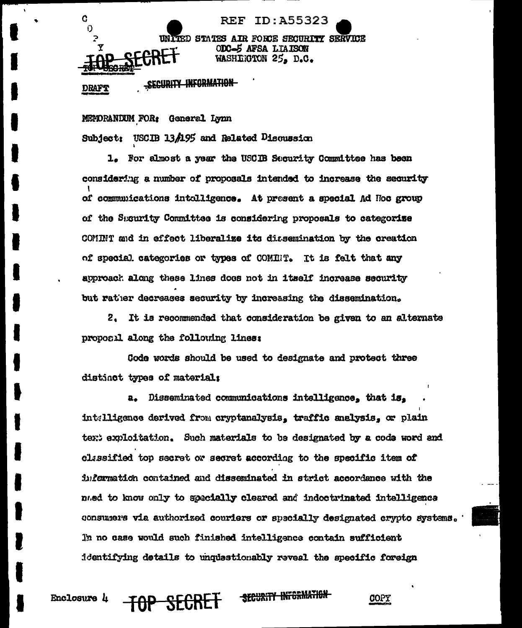

SECURITY INFORMATION **DRAFT** 

Ć

**Enclosure** *l* 

O

 $\mathbf Y$ 

MEMORANDUM FOR: General Lynn USCIB 13/195 and Related Discussion **Subject:** 

1. For almost a year the USCIB Security Committee has been considering a number of proposals intended to increase the security of communications intelligence. At present a special Ad Hoc group of the Security Committee is considering proposals to categorize COMINT and in effect liberalize its dissemination by the creation of special categories or types of COMINT. It is felt that any approack along these lines does not in itself increase security but rather decreases security by increasing the dissemination.

2. It is recommended that consideration be given to an alternate proposil along the following lines:

Code words should be used to designate and protect three distinct types of material:

a. Disseminated communications intelligence, that is, intelligence derived from cryptanalysis, traffic analysis, or plain text exploitation. Such materials to be designated by a code word and classified top secret or secret according to the specific item of information contained and disseminated in strict accordance with the nued to know only to specially cleared and indoctrinated intelligence consumers via authorized couriers or specially designated crypto systems. In no case would such finished intelligence contain sufficient identifying details to unquestionably reveal the specific foreign

SECURITY INFORMATION

**COPY**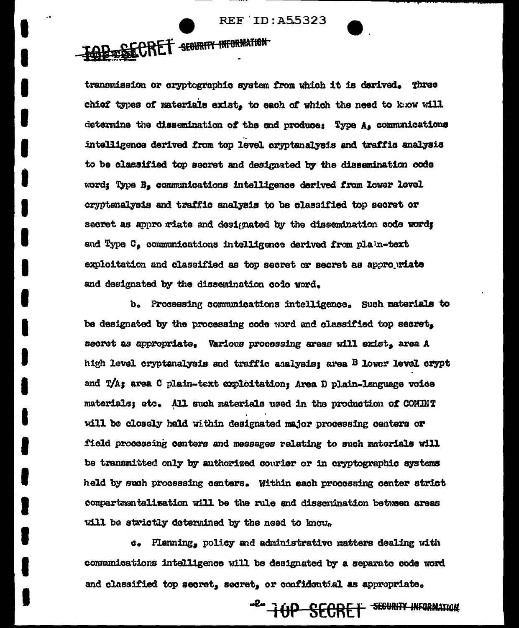# **REF ID: A55323**

**IGRESECRET SEGURITY INFORMATION** 

transmission or cryptographic system from which it is derived. Three chief types of materials exist, to each of which the need to know will determine the dissemination of the end produce: Type A, communications intelligence derived from top level cryptanalysis and traffic analysis to be classified top secret and designated by the dissemination code word; Type B, communications intelligence derived from lower level cryptenalysis and traffic analysis to be classified top secret or secret as appro riate and designated by the dissemination code word; and Type C, communications intelligence derived from plain-text exploitation and classified as top secret or secret as appropriate and designated by the dissemination code word.

b. Processing communications intelligence. Such materials to be designated by the processing code word and classified top secret. secret as appropriate, Various processing areas will exist, area A high level cryptenalysis and traffic analysis; area B lower level crypt and T/A; area C plain-text exploitation; Area D plain-language voice materials; etc. All such materials used in the production of COMINT will be closely held within designated major processing centers or field processing centers and messages relating to such materials will be transmitted only by authorized courier or in cryptographic systems held by such processing centers. Within each processing center strict compartmentalization will be the rule and disscrination between areas will be strictly determined by the need to know.

c. Planning, policy and administrative matters dealing with communications intelligence will be designated by a separate code word and classified top secret, secret, or confidential as appropriate.

-2- HOP SECRET SEGURITY INFORMATION